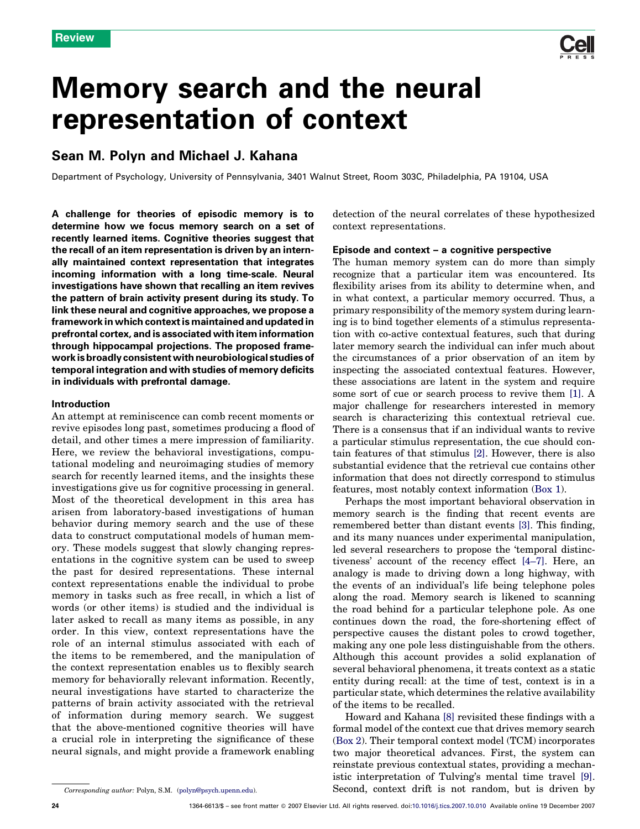# Memory search and the neural representation of context

# Sean M. Polyn and Michael J. Kahana

Department of Psychology, University of Pennsylvania, 3401 Walnut Street, Room 303C, Philadelphia, PA 19104, USA

A challenge for theories of episodic memory is to determine how we focus memory search on a set of recently learned items. Cognitive theories suggest that the recall of an item representation is driven by an internally maintained context representation that integrates incoming information with a long time-scale. Neural investigations have shown that recalling an item revives the pattern of brain activity present during its study. To link these neural and cognitive approaches, we propose a framework in which context is maintained and updated in prefrontal cortex, and is associated with item information through hippocampal projections. The proposed framework is broadly consistent with neurobiological studies of temporal integration and with studies of memory deficits in individuals with prefrontal damage.

# Introduction

An attempt at reminiscence can comb recent moments or revive episodes long past, sometimes producing a flood of detail, and other times a mere impression of familiarity. Here, we review the behavioral investigations, computational modeling and neuroimaging studies of memory search for recently learned items, and the insights these investigations give us for cognitive processing in general. Most of the theoretical development in this area has arisen from laboratory-based investigations of human behavior during memory search and the use of these data to construct computational models of human memory. These models suggest that slowly changing representations in the cognitive system can be used to sweep the past for desired representations. These internal context representations enable the individual to probe memory in tasks such as free recall, in which a list of words (or other items) is studied and the individual is later asked to recall as many items as possible, in any order. In this view, context representations have the role of an internal stimulus associated with each of the items to be remembered, and the manipulation of the context representation enables us to flexibly search memory for behaviorally relevant information. Recently, neural investigations have started to characterize the patterns of brain activity associated with the retrieval of information during memory search. We suggest that the above-mentioned cognitive theories will have a crucial role in interpreting the significance of these neural signals, and might provide a framework enabling

detection of the neural correlates of these hypothesized context representations.

# Episode and context – a cognitive perspective

The human memory system can do more than simply recognize that a particular item was encountered. Its flexibility arises from its ability to determine when, and in what context, a particular memory occurred. Thus, a primary responsibility of the memory system during learning is to bind together elements of a stimulus representation with co-active contextual features, such that during later memory search the individual can infer much about the circumstances of a prior observation of an item by inspecting the associated contextual features. However, these associations are latent in the system and require some sort of cue or search process to revive them [\[1\]](#page-4-0). A major challenge for researchers interested in memory search is characterizing this contextual retrieval cue. There is a consensus that if an individual wants to revive a particular stimulus representation, the cue should contain features of that stimulus [\[2\].](#page-4-0) However, there is also substantial evidence that the retrieval cue contains other information that does not directly correspond to stimulus features, most notably context information [\(Box 1\)](#page-1-0).

Perhaps the most important behavioral observation in memory search is the finding that recent events are remembered better than distant events [\[3\].](#page-4-0) This finding, and its many nuances under experimental manipulation, led several researchers to propose the 'temporal distinctiveness' account of the recency effect [\[4–7\]](#page-4-0). Here, an analogy is made to driving down a long highway, with the events of an individual's life being telephone poles along the road. Memory search is likened to scanning the road behind for a particular telephone pole. As one continues down the road, the fore-shortening effect of perspective causes the distant poles to crowd together, making any one pole less distinguishable from the others. Although this account provides a solid explanation of several behavioral phenomena, it treats context as a static entity during recall: at the time of test, context is in a particular state, which determines the relative availability of the items to be recalled.

Howard and Kahana [\[8\]](#page-4-0) revisited these findings with a formal model of the context cue that drives memory search ([Box 2\)](#page-2-0). Their temporal context model (TCM) incorporates two major theoretical advances. First, the system can reinstate previous contextual states, providing a mechanistic interpretation of Tulving's mental time travel [\[9\]](#page-4-0). Second, context drift is not random, but is driven by

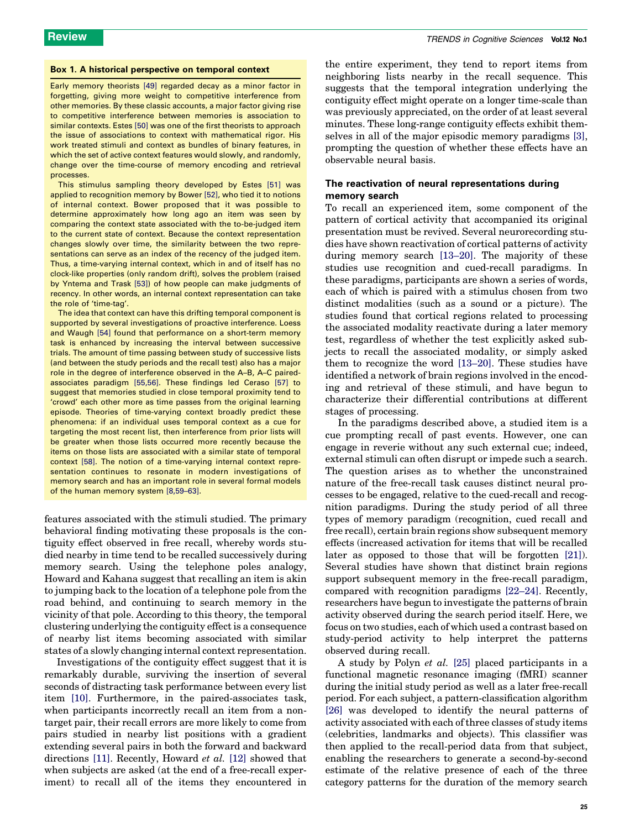# <span id="page-1-0"></span>Box 1. A historical perspective on temporal context

Early memory theorists [\[49\]](#page-5-0) regarded decay as a minor factor in forgetting, giving more weight to competitive interference from other memories. By these classic accounts, a major factor giving rise to competitive interference between memories is association to similar contexts. Estes [\[50\]](#page-5-0) was one of the first theorists to approach the issue of associations to context with mathematical rigor. His work treated stimuli and context as bundles of binary features, in which the set of active context features would slowly, and randomly, change over the time-course of memory encoding and retrieval processes.

This stimulus sampling theory developed by Estes [\[51\]](#page-5-0) was applied to recognition memory by Bower [\[52\],](#page-5-0) who tied it to notions of internal context. Bower proposed that it was possible to determine approximately how long ago an item was seen by comparing the context state associated with the to-be-judged item to the current state of context. Because the context representation changes slowly over time, the similarity between the two representations can serve as an index of the recency of the judged item. Thus, a time-varying internal context, which in and of itself has no clock-like properties (only random drift), solves the problem (raised by Yntema and Trask [\[53\]\)](#page-5-0) of how people can make judgments of recency. In other words, an internal context representation can take the role of 'time-tag'.

The idea that context can have this drifting temporal component is supported by several investigations of proactive interference. Loess and Waugh [\[54\]](#page-5-0) found that performance on a short-term memory task is enhanced by increasing the interval between successive trials. The amount of time passing between study of successive lists (and between the study periods and the recall test) also has a major role in the degree of interference observed in the A–B, A–C pairedassociates paradigm [\[55,56\].](#page-5-0) These findings led Ceraso [\[57\]](#page-5-0) to suggest that memories studied in close temporal proximity tend to 'crowd' each other more as time passes from the original learning episode. Theories of time-varying context broadly predict these phenomena: if an individual uses temporal context as a cue for targeting the most recent list, then interference from prior lists will be greater when those lists occurred more recently because the items on those lists are associated with a similar state of temporal context [\[58\]](#page-5-0). The notion of a time-varying internal context representation continues to resonate in modern investigations of memory search and has an important role in several formal models of the human memory system [\[8,59–63\].](#page-4-0)

features associated with the stimuli studied. The primary behavioral finding motivating these proposals is the contiguity effect observed in free recall, whereby words studied nearby in time tend to be recalled successively during memory search. Using the telephone poles analogy, Howard and Kahana suggest that recalling an item is akin to jumping back to the location of a telephone pole from the road behind, and continuing to search memory in the vicinity of that pole. According to this theory, the temporal clustering underlying the contiguity effect is a consequence of nearby list items becoming associated with similar states of a slowly changing internal context representation.

Investigations of the contiguity effect suggest that it is remarkably durable, surviving the insertion of several seconds of distracting task performance between every list item [\[10\].](#page-4-0) Furthermore, in the paired-associates task, when participants incorrectly recall an item from a nontarget pair, their recall errors are more likely to come from pairs studied in nearby list positions with a gradient extending several pairs in both the forward and backward directions [\[11\]](#page-4-0). Recently, Howard et al. [\[12\]](#page-5-0) showed that when subjects are asked (at the end of a free-recall experiment) to recall all of the items they encountered in

the entire experiment, they tend to report items from neighboring lists nearby in the recall sequence. This suggests that the temporal integration underlying the contiguity effect might operate on a longer time-scale than was previously appreciated, on the order of at least several minutes. These long-range contiguity effects exhibit themselves in all of the major episodic memory paradigms [\[3\]](#page-4-0), prompting the question of whether these effects have an observable neural basis.

# The reactivation of neural representations during memory search

To recall an experienced item, some component of the pattern of cortical activity that accompanied its original presentation must be revived. Several neurorecording studies have shown reactivation of cortical patterns of activity during memory search [\[13–20\]](#page-5-0). The majority of these studies use recognition and cued-recall paradigms. In these paradigms, participants are shown a series of words, each of which is paired with a stimulus chosen from two distinct modalities (such as a sound or a picture). The studies found that cortical regions related to processing the associated modality reactivate during a later memory test, regardless of whether the test explicitly asked subjects to recall the associated modality, or simply asked them to recognize the word [\[13–20\].](#page-5-0) These studies have identified a network of brain regions involved in the encoding and retrieval of these stimuli, and have begun to characterize their differential contributions at different stages of processing.

In the paradigms described above, a studied item is a cue prompting recall of past events. However, one can engage in reverie without any such external cue; indeed, external stimuli can often disrupt or impede such a search. The question arises as to whether the unconstrained nature of the free-recall task causes distinct neural processes to be engaged, relative to the cued-recall and recognition paradigms. During the study period of all three types of memory paradigm (recognition, cued recall and free recall), certain brain regions show subsequent memory effects (increased activation for items that will be recalled later as opposed to those that will be forgotten [\[21\]\)](#page-5-0). Several studies have shown that distinct brain regions support subsequent memory in the free-recall paradigm, compared with recognition paradigms [\[22–24\].](#page-5-0) Recently, researchers have begun to investigate the patterns of brain activity observed during the search period itself. Here, we focus on two studies, each of which used a contrast based on study-period activity to help interpret the patterns observed during recall.

A study by Polyn et al. [\[25\]](#page-5-0) placed participants in a functional magnetic resonance imaging (fMRI) scanner during the initial study period as well as a later free-recall period. For each subject, a pattern-classification algorithm [\[26\]](#page-5-0) was developed to identify the neural patterns of activity associated with each of three classes of study items (celebrities, landmarks and objects). This classifier was then applied to the recall-period data from that subject, enabling the researchers to generate a second-by-second estimate of the relative presence of each of the three category patterns for the duration of the memory search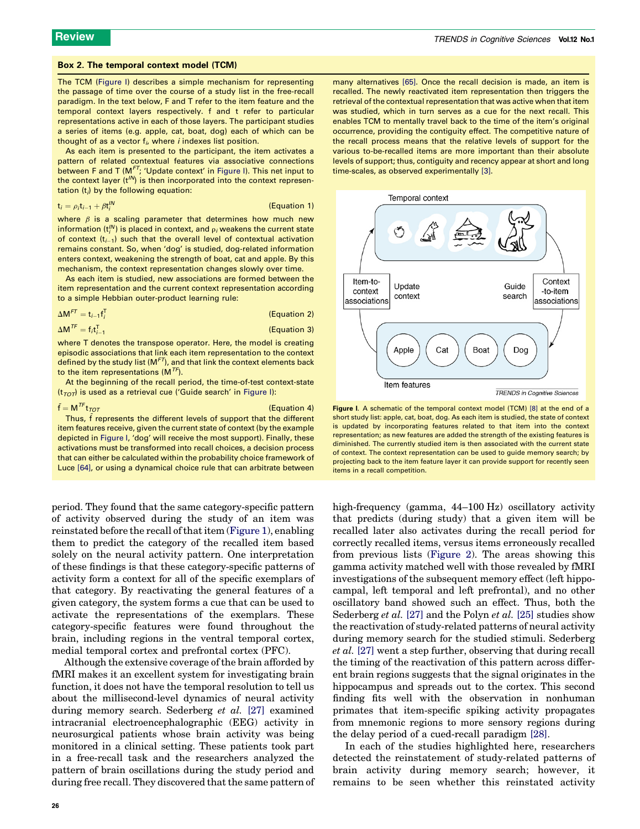### <span id="page-2-0"></span>Box 2. The temporal context model (TCM)

The TCM (Figure I) describes a simple mechanism for representing the passage of time over the course of a study list in the free-recall paradigm. In the text below, F and T refer to the item feature and the temporal context layers respectively. f and t refer to particular representations active in each of those layers. The participant studies a series of items (e.g. apple, cat, boat, dog) each of which can be thought of as a vector  $f_i$ , where *i* indexes list position.

As each item is presented to the participant, the item activates a pattern of related contextual features via associative connections between F and T ( $M<sup>FT</sup>$ ; 'Update context' in Figure I). This net input to the context layer  $(t^{1/N})$  is then incorporated into the context representation  $(t_i)$  by the following equation:

$$
\mathbf{t}_i = \rho_i \mathbf{t}_{i-1} + \beta \mathbf{t}_i^{IN}
$$
 (Equation 1)

where  $\beta$  is a scaling parameter that determines how much new information (t $_{i}^{\prime N}$ ) is placed in context, and  $_{\rho _{i}}$  weakens the current state of context (t $_{i=1}$ ) such that the overall level of contextual activation remains constant. So, when 'dog' is studied, dog-related information enters context, weakening the strength of boat, cat and apple. By this mechanism, the context representation changes slowly over time.

As each item is studied, new associations are formed between the item representation and the current context representation according to a simple Hebbian outer-product learning rule:

$$
\Delta M^{FT} = t_{i-1}t_i^T
$$
 (Equation 2)

$$
\Delta M^{TF} = f_i t_{i-1}^T
$$
 (Equation 3)

where T denotes the transpose operator. Here, the model is creating episodic associations that link each item representation to the context defined by the study list  $(M<sup>FT</sup>)$ , and that link the context elements back to the item representations  $(M^{TF})$ .

At the beginning of the recall period, the time-of-test context-state  $(t_{TOT})$  is used as a retrieval cue ('Guide search' in Figure I):

# $\tilde{\mathsf{f}} = \mathsf{M}^{\mathsf{TF}} \mathsf{t}_{\mathsf{TOT}}$  (Equation 4)

Thus, f represents the different levels of support that the different item features receive, given the current state of context (by the example depicted in Figure I, 'dog' will receive the most support). Finally, these activations must be transformed into recall choices, a decision process that can either be calculated within the probability choice framework of Luce [\[64\]](#page-5-0), or using a dynamical choice rule that can arbitrate between

period. They found that the same category-specific pattern of activity observed during the study of an item was reinstated before the recall of that item ([Figure 1\)](#page-3-0), enabling them to predict the category of the recalled item based solely on the neural activity pattern. One interpretation of these findings is that these category-specific patterns of activity form a context for all of the specific exemplars of that category. By reactivating the general features of a given category, the system forms a cue that can be used to activate the representations of the exemplars. These category-specific features were found throughout the brain, including regions in the ventral temporal cortex, medial temporal cortex and prefrontal cortex (PFC).

Although the extensive coverage of the brain afforded by fMRI makes it an excellent system for investigating brain function, it does not have the temporal resolution to tell us about the millisecond-level dynamics of neural activity during memory search. Sederberg et al. [\[27\]](#page-5-0) examined intracranial electroencephalographic (EEG) activity in neurosurgical patients whose brain activity was being monitored in a clinical setting. These patients took part in a free-recall task and the researchers analyzed the pattern of brain oscillations during the study period and during free recall. They discovered that the same pattern of many alternatives [\[65\]](#page-5-0). Once the recall decision is made, an item is recalled. The newly reactivated item representation then triggers the retrieval of the contextual representation that was active when that item was studied, which in turn serves as a cue for the next recall. This enables TCM to mentally travel back to the time of the item's original occurrence, providing the contiguity effect. The competitive nature of the recall process means that the relative levels of support for the various to-be-recalled items are more important than their absolute levels of support; thus, contiguity and recency appear at short and long time-scales, as observed experimentally [\[3\].](#page-4-0)



Figure I. A schematic of the temporal context model (TCM) [\[8\]](#page-4-0) at the end of a short study list: apple, cat, boat, dog. As each item is studied, the state of context is updated by incorporating features related to that item into the context representation; as new features are added the strength of the existing features is diminished. The currently studied item is then associated with the current state of context. The context representation can be used to guide memory search; by projecting back to the item feature layer it can provide support for recently seen items in a recall competition.

high-frequency (gamma, 44–100 Hz) oscillatory activity that predicts (during study) that a given item will be recalled later also activates during the recall period for correctly recalled items, versus items erroneously recalled from previous lists [\(Figure 2](#page-3-0)). The areas showing this gamma activity matched well with those revealed by fMRI investigations of the subsequent memory effect (left hippocampal, left temporal and left prefrontal), and no other oscillatory band showed such an effect. Thus, both the Sederberg *et al.* [\[27\]](#page-5-0) and the Polyn *et al.* [\[25\]](#page-5-0) studies show the reactivation of study-related patterns of neural activity during memory search for the studied stimuli. Sederberg et al. [\[27\]](#page-5-0) went a step further, observing that during recall the timing of the reactivation of this pattern across different brain regions suggests that the signal originates in the hippocampus and spreads out to the cortex. This second finding fits well with the observation in nonhuman primates that item-specific spiking activity propagates from mnemonic regions to more sensory regions during the delay period of a cued-recall paradigm [\[28\]](#page-5-0).

In each of the studies highlighted here, researchers detected the reinstatement of study-related patterns of brain activity during memory search; however, it remains to be seen whether this reinstated activity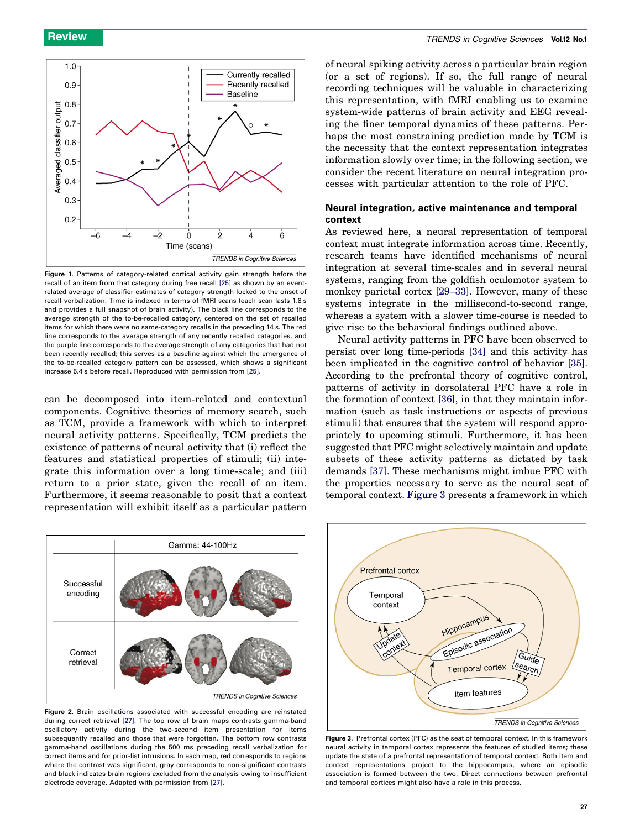<span id="page-3-0"></span>

Figure 1. Patterns of category-related cortical activity gain strength before the recall of an item from that category during free recall [\[25\]](#page-5-0) as shown by an eventrelated average of classifier estimates of category strength locked to the onset of recall verbalization. Time is indexed in terms of fMRI scans (each scan lasts 1.8 s and provides a full snapshot of brain activity). The black line corresponds to the average strength of the to-be-recalled category, centered on the set of recalled items for which there were no same-category recalls in the preceding 14 s. The red line corresponds to the average strength of any recently recalled categories, and the purple line corresponds to the average strength of any categories that had not been recently recalled; this serves as a baseline against which the emergence of the to-be-recalled category pattern can be assessed, which shows a significant increase 5.4 s before recall. Reproduced with permission from [\[25\].](#page-5-0)

can be decomposed into item-related and contextual components. Cognitive theories of memory search, such as TCM, provide a framework with which to interpret neural activity patterns. Specifically, TCM predicts the existence of patterns of neural activity that (i) reflect the features and statistical properties of stimuli; (ii) integrate this information over a long time-scale; and (iii) return to a prior state, given the recall of an item. Furthermore, it seems reasonable to posit that a context representation will exhibit itself as a particular pattern

of neural spiking activity across a particular brain region (or a set of regions). If so, the full range of neural recording techniques will be valuable in characterizing this representation, with fMRI enabling us to examine system-wide patterns of brain activity and EEG revealing the finer temporal dynamics of these patterns. Perhaps the most constraining prediction made by TCM is the necessity that the context representation integrates information slowly over time; in the following section, we consider the recent literature on neural integration processes with particular attention to the role of PFC.

# Neural integration, active maintenance and temporal context

As reviewed here, a neural representation of temporal context must integrate information across time. Recently, research teams have identified mechanisms of neural integration at several time-scales and in several neural systems, ranging from the goldfish oculomotor system to monkey parietal cortex [\[29–33\]](#page-5-0). However, many of these systems integrate in the millisecond-to-second range, whereas a system with a slower time-course is needed to give rise to the behavioral findings outlined above.

Neural activity patterns in PFC have been observed to persist over long time-periods [\[34\]](#page-5-0) and this activity has been implicated in the cognitive control of behavior [\[35\]](#page-5-0). According to the prefrontal theory of cognitive control, patterns of activity in dorsolateral PFC have a role in the formation of context [\[36\],](#page-5-0) in that they maintain information (such as task instructions or aspects of previous stimuli) that ensures that the system will respond appropriately to upcoming stimuli. Furthermore, it has been suggested that PFC might selectively maintain and update subsets of these activity patterns as dictated by task demands [\[37\]](#page-5-0). These mechanisms might imbue PFC with the properties necessary to serve as the neural seat of temporal context. Figure 3 presents a framework in which



Figure 2. Brain oscillations associated with successful encoding are reinstated during correct retrieval [\[27\].](#page-5-0) The top row of brain maps contrasts gamma-band oscillatory activity during the two-second item presentation for items subsequently recalled and those that were forgotten. The bottom row contrasts gamma-band oscillations during the 500 ms preceding recall verbalization for correct items and for prior-list intrusions. In each map, red corresponds to regions where the contrast was significant, gray corresponds to non-significant contrasts and black indicates brain regions excluded from the analysis owing to insufficient electrode coverage. Adapted with permission from [\[27\]](#page-5-0).



Figure 3. Prefrontal cortex (PFC) as the seat of temporal context. In this framework neural activity in temporal cortex represents the features of studied items; these update the state of a prefrontal representation of temporal context. Both item and context representations project to the hippocampus, where an episodic association is formed between the two. Direct connections between prefrontal and temporal cortices might also have a role in this process.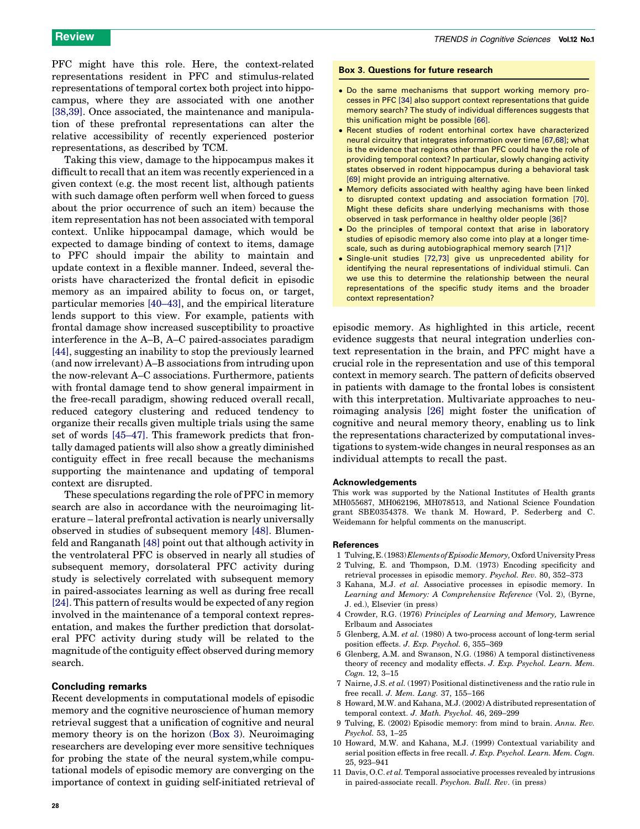<span id="page-4-0"></span>PFC might have this role. Here, the context-related representations resident in PFC and stimulus-related representations of temporal cortex both project into hippocampus, where they are associated with one another [\[38,39\]](#page-5-0). Once associated, the maintenance and manipulation of these prefrontal representations can alter the relative accessibility of recently experienced posterior representations, as described by TCM.

Taking this view, damage to the hippocampus makes it difficult to recall that an item was recently experienced in a given context (e.g. the most recent list, although patients with such damage often perform well when forced to guess about the prior occurrence of such an item) because the item representation has not been associated with temporal context. Unlike hippocampal damage, which would be expected to damage binding of context to items, damage to PFC should impair the ability to maintain and update context in a flexible manner. Indeed, several theorists have characterized the frontal deficit in episodic memory as an impaired ability to focus on, or target, particular memories [\[40–43\]](#page-5-0), and the empirical literature lends support to this view. For example, patients with frontal damage show increased susceptibility to proactive interference in the A–B, A–C paired-associates paradigm [\[44\]](#page-5-0), suggesting an inability to stop the previously learned (and now irrelevant) A–B associations from intruding upon the now-relevant A–C associations. Furthermore, patients with frontal damage tend to show general impairment in the free-recall paradigm, showing reduced overall recall, reduced category clustering and reduced tendency to organize their recalls given multiple trials using the same set of words [\[45–47\]](#page-5-0). This framework predicts that frontally damaged patients will also show a greatly diminished contiguity effect in free recall because the mechanisms supporting the maintenance and updating of temporal context are disrupted.

These speculations regarding the role of PFC in memory search are also in accordance with the neuroimaging literature – lateral prefrontal activation is nearly universally observed in studies of subsequent memory [\[48\]](#page-5-0). Blumenfeld and Ranganath [\[48\]](#page-5-0) point out that although activity in the ventrolateral PFC is observed in nearly all studies of subsequent memory, dorsolateral PFC activity during study is selectively correlated with subsequent memory in paired-associates learning as well as during free recall [\[24\]](#page-5-0). This pattern of results would be expected of any region involved in the maintenance of a temporal context representation, and makes the further prediction that dorsolateral PFC activity during study will be related to the magnitude of the contiguity effect observed during memory search.

# Concluding remarks

Recent developments in computational models of episodic memory and the cognitive neuroscience of human memory retrieval suggest that a unification of cognitive and neural memory theory is on the horizon (Box 3). Neuroimaging researchers are developing ever more sensitive techniques for probing the state of the neural system,while computational models of episodic memory are converging on the importance of context in guiding self-initiated retrieval of

- Do the same mechanisms that support working memory processes in PFC [\[34\]](#page-5-0) also support context representations that guide memory search? The study of individual differences suggests that this unification might be possible [\[66\]](#page-5-0).
- Recent studies of rodent entorhinal cortex have characterized neural circuitry that integrates information over time [\[67,68\]](#page-6-0); what is the evidence that regions other than PFC could have the role of providing temporal context? In particular, slowly changing activity states observed in rodent hippocampus during a behavioral task [\[69\]](#page-6-0) might provide an intriguing alternative.
- Memory deficits associated with healthy aging have been linked to disrupted context updating and association formation [\[70\].](#page-6-0) Might these deficits share underlying mechanisms with those observed in task performance in healthy older people [\[36\]](#page-5-0)?
- Do the principles of temporal context that arise in laboratory studies of episodic memory also come into play at a longer timescale, such as during autobiographical memory search [\[71\]](#page-6-0)?
- Single-unit studies [\[72,73\]](#page-6-0) give us unprecedented ability for identifying the neural representations of individual stimuli. Can we use this to determine the relationship between the neural representations of the specific study items and the broader context representation?

episodic memory. As highlighted in this article, recent evidence suggests that neural integration underlies context representation in the brain, and PFC might have a crucial role in the representation and use of this temporal context in memory search. The pattern of deficits observed in patients with damage to the frontal lobes is consistent with this interpretation. Multivariate approaches to neuroimaging analysis [\[26\]](#page-5-0) might foster the unification of cognitive and neural memory theory, enabling us to link the representations characterized by computational investigations to system-wide changes in neural responses as an individual attempts to recall the past.

### Acknowledgements

This work was supported by the National Institutes of Health grants MH055687, MH062196, MH078513, and National Science Foundation grant SBE0354378. We thank M. Howard, P. Sederberg and C. Weidemann for helpful comments on the manuscript.

## **References**

- 1 Tulving, E. (1983) Elements of Episodic Memory, Oxford University Press 2 Tulving, E. and Thompson, D.M. (1973) Encoding specificity and
- retrieval processes in episodic memory. Psychol. Rev. 80, 352–373
- 3 Kahana, M.J. et al. Associative processes in episodic memory. In Learning and Memory: A Comprehensive Reference (Vol. 2), (Byrne, J. ed.), Elsevier (in press)
- 4 Crowder, R.G. (1976) Principles of Learning and Memory, Lawrence Erlbaum and Associates
- 5 Glenberg, A.M. et al. (1980) A two-process account of long-term serial position effects. J. Exp. Psychol. 6, 355–369
- 6 Glenberg, A.M. and Swanson, N.G. (1986) A temporal distinctiveness theory of recency and modality effects. J. Exp. Psychol. Learn. Mem. Cogn. 12, 3–15
- 7 Nairne, J.S. et al. (1997) Positional distinctiveness and the ratio rule in free recall. J. Mem. Lang. 37, 155–166
- 8 Howard, M.W. and Kahana, M.J. (2002) A distributed representation of temporal context. J. Math. Psychol. 46, 269-299
- 9 Tulving, E. (2002) Episodic memory: from mind to brain. Annu. Rev. Psychol. 53, 1–25
- 10 Howard, M.W. and Kahana, M.J. (1999) Contextual variability and serial position effects in free recall. J. Exp. Psychol. Learn. Mem. Cogn. 25, 923–941
- 11 Davis, O.C. et al. Temporal associative processes revealed by intrusions in paired-associate recall. Psychon. Bull. Rev. (in press)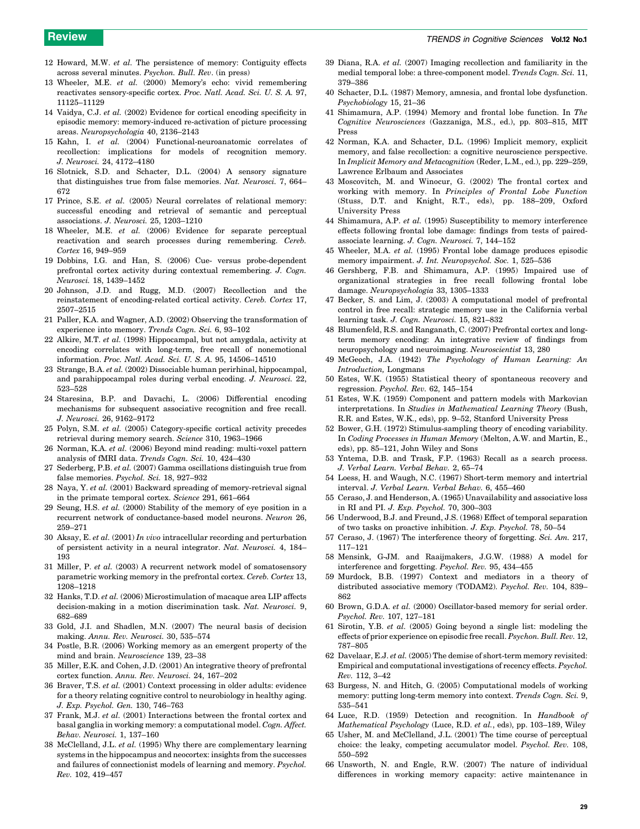- <span id="page-5-0"></span>12 Howard, M.W. et al. The persistence of memory: Contiguity effects across several minutes. Psychon. Bull. Rev. (in press)
- 13 Wheeler, M.E. et al. (2000) Memory's echo: vivid remembering reactivates sensory-specific cortex. Proc. Natl. Acad. Sci. U. S. A. 97, 11125–11129
- 14 Vaidya, C.J. et al. (2002) Evidence for cortical encoding specificity in episodic memory: memory-induced re-activation of picture processing areas. Neuropsychologia 40, 2136–2143
- 15 Kahn, I. et al. (2004) Functional-neuroanatomic correlates of recollection: implications for models of recognition memory. J. Neurosci. 24, 4172–4180
- 16 Slotnick, S.D. and Schacter, D.L. (2004) A sensory signature that distinguishes true from false memories. Nat. Neurosci. 7, 664-672
- 17 Prince, S.E. et al. (2005) Neural correlates of relational memory: successful encoding and retrieval of semantic and perceptual associations. J. Neurosci. 25, 1203–1210
- 18 Wheeler, M.E. et al. (2006) Evidence for separate perceptual reactivation and search processes during remembering. Cereb. Cortex 16, 949-959
- 19 Dobbins, I.G. and Han, S. (2006) Cue- versus probe-dependent prefrontal cortex activity during contextual remembering. J. Cogn. Neurosci. 18, 1439–1452
- 20 Johnson, J.D. and Rugg, M.D. (2007) Recollection and the reinstatement of encoding-related cortical activity. Cereb. Cortex 17, 2507–2515
- 21 Paller, K.A. and Wagner, A.D. (2002) Observing the transformation of experience into memory. Trends Cogn. Sci. 6, 93–102
- 22 Alkire, M.T. et al. (1998) Hippocampal, but not amygdala, activity at encoding correlates with long-term, free recall of nonemotional information. Proc. Natl. Acad. Sci. U. S. A. 95, 14506–14510
- 23 Strange, B.A. et al. (2002) Dissociable human perirhinal, hippocampal, and parahippocampal roles during verbal encoding. J. Neurosci. 22, 523–528
- 24 Staresina, B.P. and Davachi, L. (2006) Differential encoding mechanisms for subsequent associative recognition and free recall. J. Neurosci. 26, 9162–9172
- 25 Polyn, S.M. et al. (2005) Category-specific cortical activity precedes retrieval during memory search. Science 310, 1963–1966
- 26 Norman, K.A. et al. (2006) Beyond mind reading: multi-voxel pattern analysis of fMRI data. Trends Cogn. Sci. 10, 424–430
- 27 Sederberg, P.B. et al. (2007) Gamma oscillations distinguish true from false memories. Psychol. Sci. 18, 927–932
- 28 Naya, Y. et al. (2001) Backward spreading of memory-retrieval signal in the primate temporal cortex. Science 291, 661–664
- 29 Seung, H.S. et al. (2000) Stability of the memory of eye position in a recurrent network of conductance-based model neurons. Neuron 26, 259–271
- 30 Aksay, E. et al. (2001) In vivo intracellular recording and perturbation of persistent activity in a neural integrator. Nat. Neurosci. 4, 184– 193
- 31 Miller, P. et al. (2003) A recurrent network model of somatosensory parametric working memory in the prefrontal cortex. Cereb. Cortex 13, 1208–1218
- 32 Hanks, T.D. et al. (2006) Microstimulation of macaque area LIP affects decision-making in a motion discrimination task. Nat. Neurosci. 9, 682–689
- 33 Gold, J.I. and Shadlen, M.N. (2007) The neural basis of decision making. Annu. Rev. Neurosci. 30, 535–574
- 34 Postle, B.R. (2006) Working memory as an emergent property of the mind and brain. Neuroscience 139, 23–38
- 35 Miller, E.K. and Cohen, J.D. (2001) An integrative theory of prefrontal cortex function. Annu. Rev. Neurosci. 24, 167–202
- 36 Braver, T.S. et al. (2001) Context processing in older adults: evidence for a theory relating cognitive control to neurobiology in healthy aging. J. Exp. Psychol. Gen. 130, 746–763
- 37 Frank, M.J. et al. (2001) Interactions between the frontal cortex and basal ganglia in working memory: a computational model. Cogn. Affect. Behav. Neurosci. 1, 137–160
- 38 McClelland, J.L. et al. (1995) Why there are complementary learning systems in the hippocampus and neocortex: insights from the successes and failures of connectionist models of learning and memory. Psychol. Rev. 102, 419–457
- 39 Diana, R.A. et al. (2007) Imaging recollection and familiarity in the medial temporal lobe: a three-component model. Trends Cogn. Sci. 11, 379–386
- 40 Schacter, D.L. (1987) Memory, amnesia, and frontal lobe dysfunction. Psychobiology 15, 21–36
- 41 Shimamura, A.P. (1994) Memory and frontal lobe function. In The Cognitive Neurosciences (Gazzaniga, M.S., ed.), pp. 803–815, MIT Press
- 42 Norman, K.A. and Schacter, D.L. (1996) Implicit memory, explicit memory, and false recollection: a cognitive neuroscience perspective. In Implicit Memory and Metacognition (Reder, L.M., ed.), pp. 229–259, Lawrence Erlbaum and Associates
- 43 Moscovitch, M. and Winocur, G. (2002) The frontal cortex and working with memory. In Principles of Frontal Lobe Function (Stuss, D.T. and Knight, R.T., eds), pp. 188–209, Oxford University Press
- 44 Shimamura, A.P. et al. (1995) Susceptibility to memory interference effects following frontal lobe damage: findings from tests of pairedassociate learning. J. Cogn. Neurosci. 7, 144–152
- 45 Wheeler, M.A. et al. (1995) Frontal lobe damage produces episodic memory impairment. J. Int. Neuropsychol. Soc. 1, 525–536
- 46 Gershberg, F.B. and Shimamura, A.P. (1995) Impaired use of organizational strategies in free recall following frontal lobe damage. Neuropsychologia 33, 1305–1333
- 47 Becker, S. and Lim, J. (2003) A computational model of prefrontal control in free recall: strategic memory use in the California verbal learning task. J. Cogn. Neurosci. 15, 821–832
- 48 Blumenfeld, R.S. and Ranganath, C. (2007) Prefrontal cortex and longterm memory encoding: An integrative review of findings from neuropsychology and neuroimaging. Neuroscientist 13, 280
- 49 McGeoch, J.A. (1942) The Psychology of Human Learning: An Introduction, Longmans
- 50 Estes, W.K. (1955) Statistical theory of spontaneous recovery and regression. Psychol. Rev. 62, 145–154
- 51 Estes, W.K. (1959) Component and pattern models with Markovian interpretations. In Studies in Mathematical Learning Theory (Bush, R.R. and Estes, W.K., eds), pp. 9–52, Stanford University Press
- 52 Bower, G.H. (1972) Stimulus-sampling theory of encoding variability. In Coding Processes in Human Memory (Melton, A.W. and Martin, E., eds), pp. 85–121, John Wiley and Sons
- 53 Yntema, D.B. and Trask, F.P. (1963) Recall as a search process. J. Verbal Learn. Verbal Behav. 2, 65–74
- 54 Loess, H. and Waugh, N.C. (1967) Short-term memory and intertrial interval. J. Verbal Learn. Verbal Behav. 6, 455–460
- 55 Ceraso, J. and Henderson, A. (1965) Unavailability and associative loss in RI and PI. J. Exp. Psychol. 70, 300–303
- 56 Underwood, B.J. and Freund, J.S. (1968) Effect of temporal separation of two tasks on proactive inhibition. J. Exp. Psychol. 78, 50–54
- 57 Ceraso, J. (1967) The interference theory of forgetting. Sci. Am. 217, 117–121
- 58 Mensink, G-JM. and Raaijmakers, J.G.W. (1988) A model for interference and forgetting. Psychol. Rev. 95, 434–455
- 59 Murdock, B.B. (1997) Context and mediators in a theory of distributed associative memory (TODAM2). Psychol. Rev. 104, 839– 862
- 60 Brown, G.D.A. et al. (2000) Oscillator-based memory for serial order. Psychol. Rev. 107, 127–181
- 61 Sirotin, Y.B. et al. (2005) Going beyond a single list: modeling the effects of prior experience on episodic free recall. Psychon. Bull. Rev. 12, 787–805
- 62 Davelaar, E.J. et al. (2005) The demise of short-term memory revisited: Empirical and computational investigations of recency effects. Psychol. Rev. 112, 3–42
- 63 Burgess, N. and Hitch, G. (2005) Computational models of working memory: putting long-term memory into context. Trends Cogn. Sci. 9, 535–541
- 64 Luce, R.D. (1959) Detection and recognition. In Handbook of Mathematical Psychology (Luce, R.D. et al., eds), pp. 103–189, Wiley
- 65 Usher, M. and McClelland, J.L. (2001) The time course of perceptual choice: the leaky, competing accumulator model. Psychol. Rev. 108, 550–592
- 66 Unsworth, N. and Engle, R.W. (2007) The nature of individual differences in working memory capacity: active maintenance in